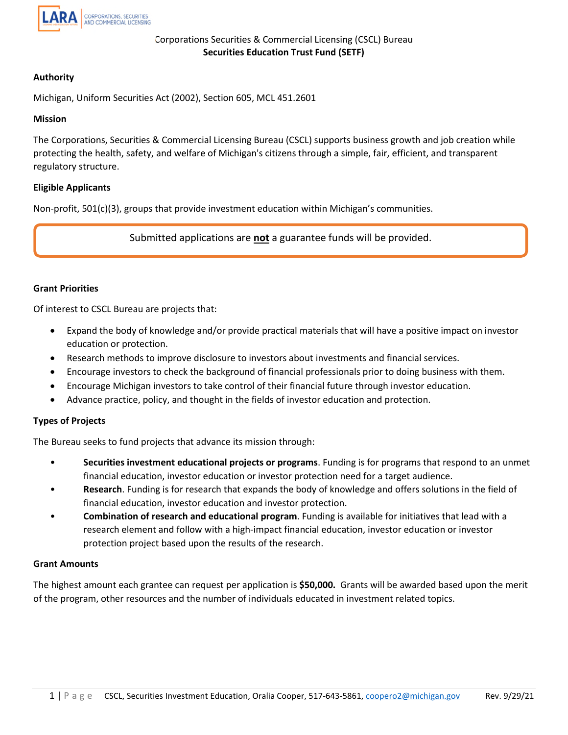

# **Authority**

Michigan, Uniform Securities Act (2002), Section 605, MCL 451.2601

## **Mission**

The Corporations, Securities & Commercial Licensing Bureau (CSCL) supports business growth and job creation while protecting the health, safety, and welfare of Michigan's citizens through a simple, fair, efficient, and transparent regulatory structure.

## **Eligible Applicants**

Non-profit, 501(c)(3), groups that provide investment education within Michigan's communities.

Submitted applications are **not** a guarantee funds will be provided.

## **Grant Priorities**

Of interest to CSCL Bureau are projects that:

- Expand the body of knowledge and/or provide practical materials that will have a positive impact on investor education or protection.
- Research methods to improve disclosure to investors about investments and financial services.
- Encourage investors to check the background of financial professionals prior to doing business with them.
- Encourage Michigan investors to take control of their financial future through investor education.
- Advance practice, policy, and thought in the fields of investor education and protection.

## **Types of Projects**

The Bureau seeks to fund projects that advance its mission through:

- **Securities investment educational projects or programs**. Funding is for programs that respond to an unmet financial education, investor education or investor protection need for a target audience.
- **Research**. Funding is for research that expands the body of knowledge and offers solutions in the field of financial education, investor education and investor protection.
- **Combination of research and educational program**. Funding is available for initiatives that lead with a research element and follow with a high-impact financial education, investor education or investor protection project based upon the results of the research.

## **Grant Amounts**

The highest amount each grantee can request per application is **\$50,000.** Grants will be awarded based upon the merit of the program, other resources and the number of individuals educated in investment related topics.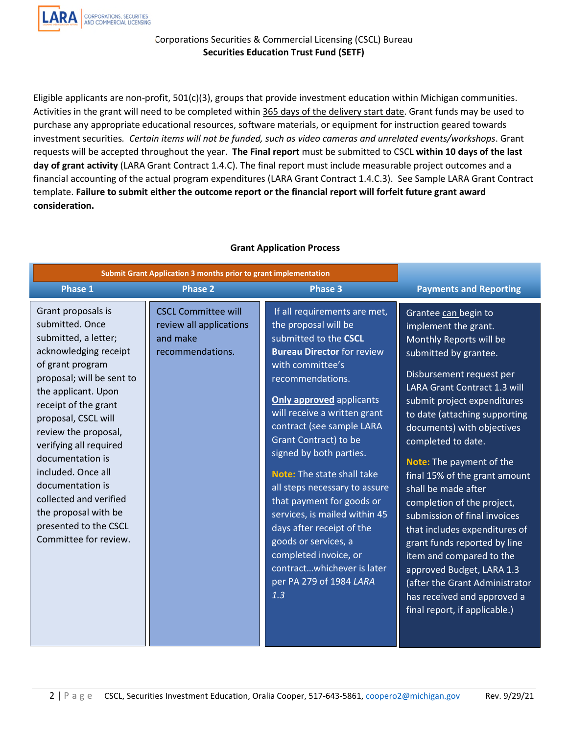

Eligible applicants are non-profit, 501(c)(3), groups that provide investment education within Michigan communities. Activities in the grant will need to be completed within 365 days of the delivery start date. Grant funds may be used to purchase any appropriate educational resources, software materials, or equipment for instruction geared towards investment securities*. Certain items will not be funded, such as video cameras and unrelated events/workshops*. Grant requests will be accepted throughout the year. **The Final report** must be submitted to CSCL **within 10 days of the last day of grant activity** (LARA Grant Contract 1.4.C). The final report must include measurable project outcomes and a financial accounting of the actual program expenditures (LARA Grant Contract 1.4.C.3). See Sample LARA Grant Contract template. **Failure to submit either the outcome report or the financial report will forfeit future grant award consideration.** 

| Submit Grant Application 3 months prior to grant implementation                                                                                                                                                                                                                                                                                                                                                                   |                                                                                       |                                                                                                                                                                                                                                                                                                                                                                                                                                                                                                                                                                                           |                                                                                                                                                                                                                                                                                                                                                                                                                                                                                                                                                                                                                                                                       |
|-----------------------------------------------------------------------------------------------------------------------------------------------------------------------------------------------------------------------------------------------------------------------------------------------------------------------------------------------------------------------------------------------------------------------------------|---------------------------------------------------------------------------------------|-------------------------------------------------------------------------------------------------------------------------------------------------------------------------------------------------------------------------------------------------------------------------------------------------------------------------------------------------------------------------------------------------------------------------------------------------------------------------------------------------------------------------------------------------------------------------------------------|-----------------------------------------------------------------------------------------------------------------------------------------------------------------------------------------------------------------------------------------------------------------------------------------------------------------------------------------------------------------------------------------------------------------------------------------------------------------------------------------------------------------------------------------------------------------------------------------------------------------------------------------------------------------------|
| <b>Phase 1</b>                                                                                                                                                                                                                                                                                                                                                                                                                    | <b>Phase 2</b>                                                                        | <b>Phase 3</b>                                                                                                                                                                                                                                                                                                                                                                                                                                                                                                                                                                            | <b>Payments and Reporting</b>                                                                                                                                                                                                                                                                                                                                                                                                                                                                                                                                                                                                                                         |
| Grant proposals is<br>submitted. Once<br>submitted, a letter;<br>acknowledging receipt<br>of grant program<br>proposal; will be sent to<br>the applicant. Upon<br>receipt of the grant<br>proposal, CSCL will<br>review the proposal,<br>verifying all required<br>documentation is<br>included. Once all<br>documentation is<br>collected and verified<br>the proposal with be<br>presented to the CSCL<br>Committee for review. | <b>CSCL Committee will</b><br>review all applications<br>and make<br>recommendations. | If all requirements are met,<br>the proposal will be<br>submitted to the CSCL<br><b>Bureau Director for review</b><br>with committee's<br>recommendations.<br><b>Only approved applicants</b><br>will receive a written grant<br>contract (see sample LARA<br>Grant Contract) to be<br>signed by both parties.<br>Note: The state shall take<br>all steps necessary to assure<br>that payment for goods or<br>services, is mailed within 45<br>days after receipt of the<br>goods or services, a<br>completed invoice, or<br>contractwhichever is later<br>per PA 279 of 1984 LARA<br>1.3 | Grantee can begin to<br>implement the grant.<br>Monthly Reports will be<br>submitted by grantee.<br>Disbursement request per<br><b>LARA Grant Contract 1.3 will</b><br>submit project expenditures<br>to date (attaching supporting<br>documents) with objectives<br>completed to date.<br>Note: The payment of the<br>final 15% of the grant amount<br>shall be made after<br>completion of the project,<br>submission of final invoices<br>that includes expenditures of<br>grant funds reported by line<br>item and compared to the<br>approved Budget, LARA 1.3<br>(after the Grant Administrator<br>has received and approved a<br>final report, if applicable.) |

# **Grant Application Process**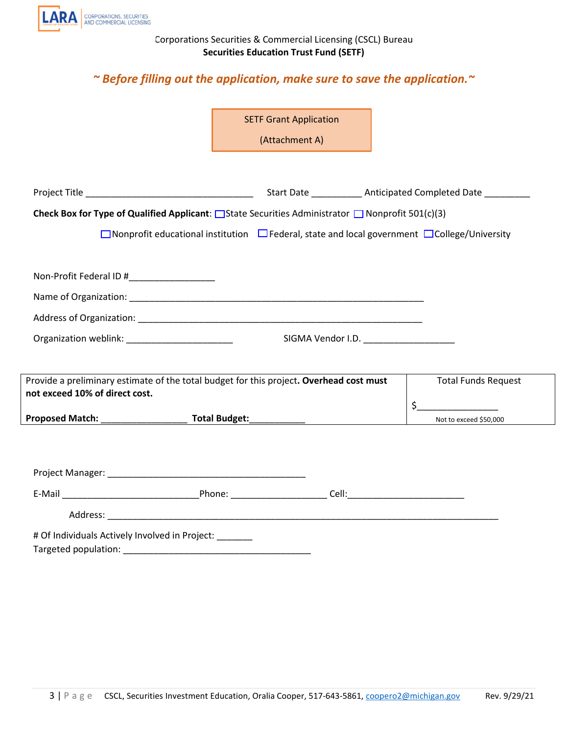

# *~ Before filling out the application, make sure to save the application.~*

|                                                                                                                                                                                                                               | <b>SETF Grant Application</b>                                                                               |                            |
|-------------------------------------------------------------------------------------------------------------------------------------------------------------------------------------------------------------------------------|-------------------------------------------------------------------------------------------------------------|----------------------------|
|                                                                                                                                                                                                                               | (Attachment A)                                                                                              |                            |
|                                                                                                                                                                                                                               |                                                                                                             |                            |
|                                                                                                                                                                                                                               |                                                                                                             |                            |
|                                                                                                                                                                                                                               |                                                                                                             |                            |
|                                                                                                                                                                                                                               | Check Box for Type of Qualified Applicant: $\Box$ State Securities Administrator $\Box$ Nonprofit 501(c)(3) |                            |
|                                                                                                                                                                                                                               | □ Nonprofit educational institution □ Federal, state and local government □ College/University              |                            |
|                                                                                                                                                                                                                               |                                                                                                             |                            |
| Non-Profit Federal ID #___________________                                                                                                                                                                                    |                                                                                                             |                            |
|                                                                                                                                                                                                                               |                                                                                                             |                            |
|                                                                                                                                                                                                                               |                                                                                                             |                            |
| Organization weblink: _______________________                                                                                                                                                                                 |                                                                                                             | SIGMA Vendor I.D.          |
|                                                                                                                                                                                                                               |                                                                                                             |                            |
|                                                                                                                                                                                                                               |                                                                                                             |                            |
| not exceed 10% of direct cost.                                                                                                                                                                                                | Provide a preliminary estimate of the total budget for this project. Overhead cost must                     | <b>Total Funds Request</b> |
|                                                                                                                                                                                                                               |                                                                                                             | \$                         |
|                                                                                                                                                                                                                               |                                                                                                             | Not to exceed \$50,000     |
|                                                                                                                                                                                                                               |                                                                                                             |                            |
|                                                                                                                                                                                                                               |                                                                                                             |                            |
|                                                                                                                                                                                                                               |                                                                                                             |                            |
|                                                                                                                                                                                                                               |                                                                                                             |                            |
| # Of Individuals Actively Involved in Project: ______                                                                                                                                                                         |                                                                                                             |                            |
| Targeted population: National Contract of the Contract of the Contract of the Contract of the Contract of the Contract of the Contract of the Contract of the Contract of the Contract of the Contract of the Contract of the |                                                                                                             |                            |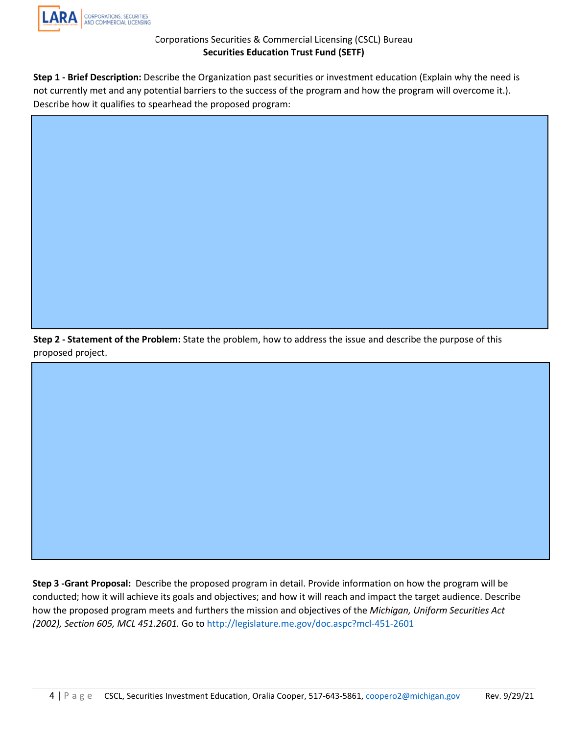

**Step 1 - Brief Description:** Describe the Organization past securities or investment education (Explain why the need is not currently met and any potential barriers to the success of the program and how the program will overcome it.). Describe how it qualifies to spearhead the proposed program:

**Step 2 - Statement of the Problem:** State the problem, how to address the issue and describe the purpose of this proposed project.

**Step 3 -Grant Proposal:** Describe the proposed program in detail. Provide information on how the program will be conducted; how it will achieve its goals and objectives; and how it [will reach and](http://legislature.me.gov/doc.aspc?mcl-451-2601) impact the target audience. Describe how the proposed program meets and furthers the mission and objectives of the *Michigan, Uniform Securities Act (2002), Section 605, MCL 451.2601.* Go to http://legislature.me.gov/doc.aspc?mcl-451-2601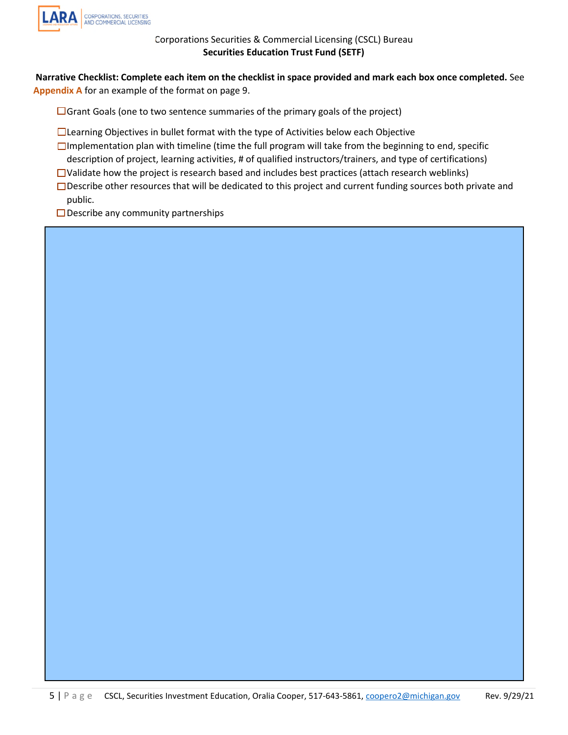

 **Narrative Checklist: Complete each item on the checklist in space provided and mark each box once completed.** See **Appendix A** for an example of the format on page 9.

 $\Box$  Grant Goals (one to two sentence summaries of the primary goals of the project)

- □Learning Objectives in bullet format with the type of Activities below each Objective
- $\Box$ Implementation plan with timeline (time the full program will take from the beginning to end, specific
- description of project, learning activities, # of qualified instructors/trainers, and type of certifications)
- $\Box$ Validate how the project is research based and includes best practices (attach research weblinks)
- $\Box$ Describe other resources that will be dedicated to this project and current funding sources both private and public.
- $\square$  Describe any community partnerships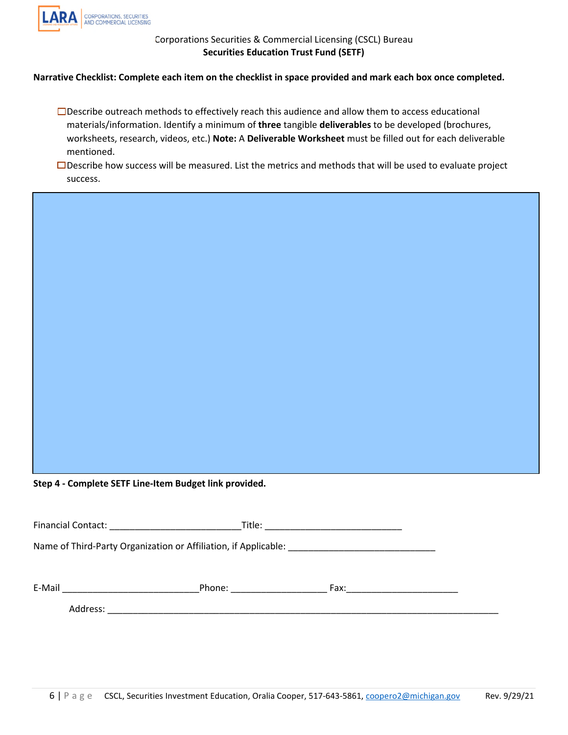

# **Narrative Checklist: Complete each item on the checklist in space provided and mark each box once completed.**

□Describe outreach methods to effectively reach this audience and allow them to access educational materials/information. Identify a minimum of **three** tangible **deliverables** to be developed (brochures, worksheets, research, videos, etc.) **Note:** A **Deliverable Worksheet** must be filled out for each deliverable mentioned.

 $\Box$ Describe how success will be measured. List the metrics and methods that will be used to evaluate project success.

**Step 4 - Complete SETF Line-Item Budget link provided.** 

|                                                                 | <b>Financial Contact:</b><br><u> 1980 - Jan Barbarat, manala</u> | Title:   |  |  |  |  |  |
|-----------------------------------------------------------------|------------------------------------------------------------------|----------|--|--|--|--|--|
| Name of Third-Party Organization or Affiliation, if Applicable: |                                                                  |          |  |  |  |  |  |
|                                                                 |                                                                  |          |  |  |  |  |  |
| E-Mail                                                          | Phone:                                                           | Fax: Fax |  |  |  |  |  |
|                                                                 | Address:                                                         |          |  |  |  |  |  |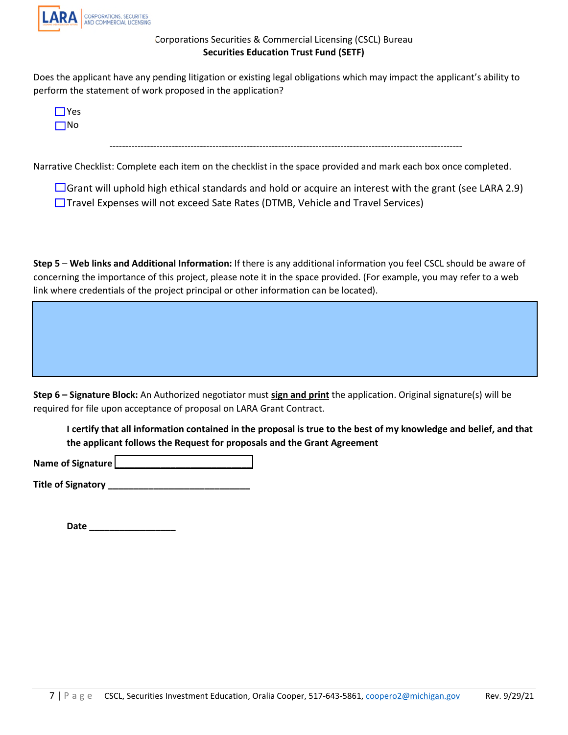

Does the applicant have any pending litigation or existing legal obligations which may impact the applicant's ability to perform the statement of work proposed in the application?



Narrative Checklist: Complete each item on the checklist in the space provided and mark each box once completed.

 $\Box$  Grant will uphold high ethical standards and hold or acquire an interest with the grant (see LARA 2.9) □ Travel Expenses will not exceed Sate Rates (DTMB, Vehicle and Travel Services)

**Step 5** – **Web links and Additional Information:** If there is any additional information you feel CSCL should be aware of concerning the importance of this project, please note it in the space provided. (For example, you may refer to a web link where credentials of the project principal or other information can be located).

**Step 6 – Signature Block:** An Authorized negotiator must **sign and print** the application. Original signature(s) will be required for file upon acceptance of proposal on LARA Grant Contract.

**I certify that all information contained in the proposal is true to the best of my knowledge and belief, and that the applicant follows the Request for proposals and the Grant Agreement** 

Name of Signature **Letters** 2004

**Title of Signatory \_\_\_\_\_\_\_\_\_\_\_\_\_\_\_\_\_\_\_\_\_\_\_\_\_\_\_\_** 

**Date \_\_\_\_\_\_\_\_\_\_\_\_\_\_\_\_\_**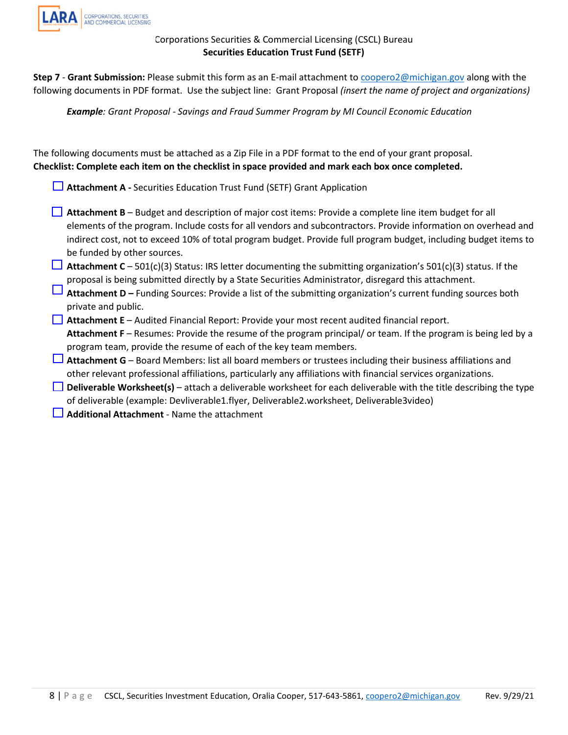

**Step 7** - **Grant Submission:** Please submit this form as an E-mail attachment to [coopero2@michigan.gov](mailto:coopero2@michigan.gov) along with the following documents in PDF format. Use the subject line: Grant Proposal *(insert the name of project and organizations)* 

*Example: Grant Proposal - Savings and Fraud Summer Program by MI Council Economic Education* 

The following documents must be attached as a Zip File in a PDF format to the end of your grant proposal. **Checklist: Complete each item on the checklist in space provided and mark each box once completed.** 

**Attachment A -** Securities Education Trust Fund (SETF) Grant Application

- **Attachment B** Budget and description of major cost items: Provide a complete line item budget for all elements of the program. Include costs for all vendors and subcontractors. Provide information on overhead and indirect cost, not to exceed 10% of total program budget. Provide full program budget, including budget items to be funded by other sources.
- **Attachment C** 501(c)(3) Status: IRS letter documenting the submitting organization's 501(c)(3) status. If the proposal is being submitted directly by a State Securities Administrator, disregard this attachment.
- **Attachment D** Funding Sources: Provide a list of the submitting organization's current funding sources both private and public.
- **Attachment E** Audited Financial Report: Provide your most recent audited financial report. **Attachment F** – Resumes: Provide the resume of the program principal/ or team. If the program is being led by a program team, provide the resume of each of the key team members.
- **Attachment G** Board Members: list all board members or trustees including their business affiliations and other relevant professional affiliations, particularly any affiliations with financial services organizations.
- **Deliverable Worksheet(s)** attach a deliverable worksheet for each deliverable with the title describing the type of deliverable (example: Devliverable1.flyer, Deliverable2.worksheet, Deliverable3video)
- **Additional Attachment**  Name the attachment